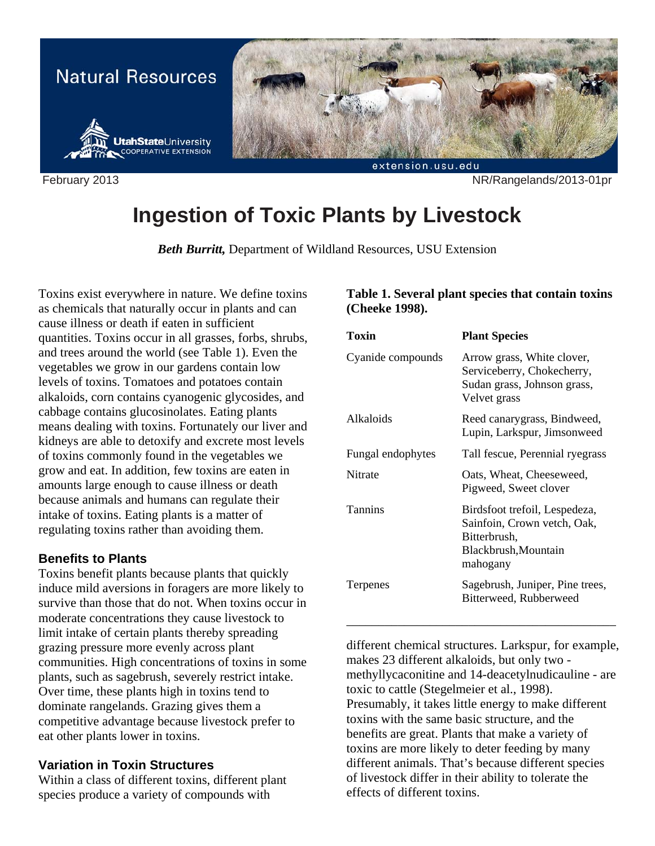

February 2013 NR/Rangelands/2013-01pr

# **Ingestion of Toxic Plants by Livestock**

*Beth Burritt,* Department of Wildland Resources, USU Extension

Toxins exist everywhere in nature. We define toxins as chemicals that naturally occur in plants and can cause illness or death if eaten in sufficient quantities. Toxins occur in all grasses, forbs, shrubs, and trees around the world (see Table 1). Even the vegetables we grow in our gardens contain low levels of toxins. Tomatoes and potatoes contain alkaloids, corn contains cyanogenic glycosides, and cabbage contains glucosinolates. Eating plants means dealing with toxins. Fortunately our liver and kidneys are able to detoxify and excrete most levels of toxins commonly found in the vegetables we grow and eat. In addition, few toxins are eaten in amounts large enough to cause illness or death because animals and humans can regulate their intake of toxins. Eating plants is a matter of regulating toxins rather than avoiding them.

## **Benefits to Plants**

Toxins benefit plants because plants that quickly induce mild aversions in foragers are more likely to survive than those that do not. When toxins occur in moderate concentrations they cause livestock to limit intake of certain plants thereby spreading grazing pressure more evenly across plant communities. High concentrations of toxins in some plants, such as sagebrush, severely restrict intake. Over time, these plants high in toxins tend to dominate rangelands. Grazing gives them a competitive advantage because livestock prefer to eat other plants lower in toxins.

## **Variation in Toxin Structures**

Within a class of different toxins, different plant species produce a variety of compounds with

#### **Table 1. Several plant species that contain toxins (Cheeke 1998).**

| Toxin             | <b>Plant Species</b>                                                                                             |
|-------------------|------------------------------------------------------------------------------------------------------------------|
| Cyanide compounds | Arrow grass, White clover,<br>Serviceberry, Chokecherry,<br>Sudan grass, Johnson grass,<br>Velvet grass          |
| Alkaloids         | Reed canarygrass, Bindweed,<br>Lupin, Larkspur, Jimsonweed                                                       |
| Fungal endophytes | Tall fescue, Perennial ryegrass                                                                                  |
| Nitrate           | Oats, Wheat, Cheeseweed,<br>Pigweed, Sweet clover                                                                |
| Tannins           | Birdsfoot trefoil, Lespedeza,<br>Sainfoin, Crown vetch, Oak,<br>Bitterbrush,<br>Blackbrush, Mountain<br>mahogany |
| Terpenes          | Sagebrush, Juniper, Pine trees,<br>Bitterweed, Rubberweed                                                        |

different chemical structures. Larkspur, for example, makes 23 different alkaloids, but only two methyllycaconitine and 14-deacetylnudicauline - are toxic to cattle (Stegelmeier et al., 1998). Presumably, it takes little energy to make different toxins with the same basic structure, and the benefits are great. Plants that make a variety of toxins are more likely to deter feeding by many different animals. That's because different species of livestock differ in their ability to tolerate the effects of different toxins.

\_\_\_\_\_\_\_\_\_\_\_\_\_\_\_\_\_\_\_\_\_\_\_\_\_\_\_\_\_\_\_\_\_\_\_\_\_\_\_\_\_\_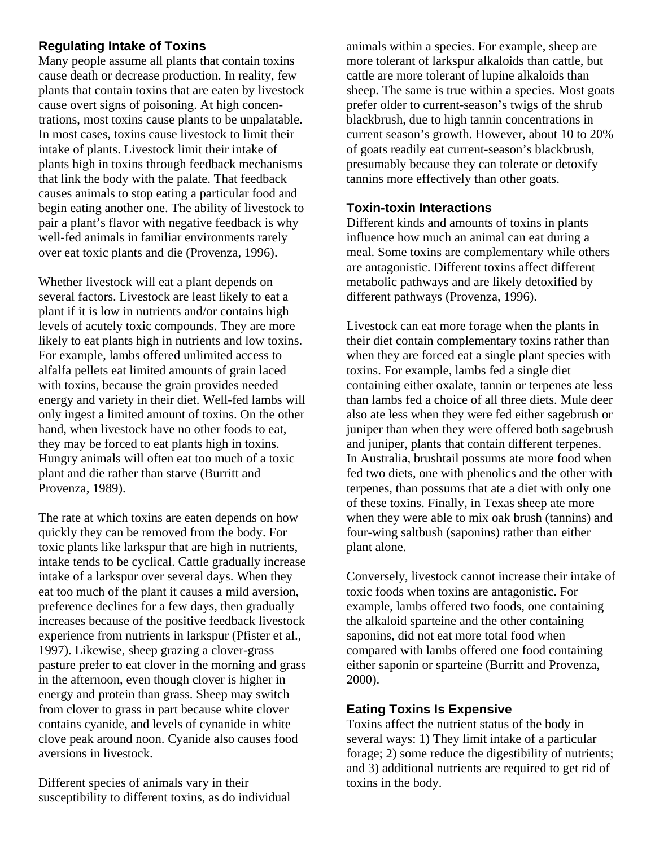## **Regulating Intake of Toxins**

Many people assume all plants that contain toxins cause death or decrease production. In reality, few plants that contain toxins that are eaten by livestock cause overt signs of poisoning. At high concentrations, most toxins cause plants to be unpalatable. In most cases, toxins cause livestock to limit their intake of plants. Livestock limit their intake of plants high in toxins through feedback mechanisms that link the body with the palate. That feedback causes animals to stop eating a particular food and begin eating another one. The ability of livestock to pair a plant's flavor with negative feedback is why well-fed animals in familiar environments rarely over eat toxic plants and die (Provenza, 1996).

Whether livestock will eat a plant depends on several factors. Livestock are least likely to eat a plant if it is low in nutrients and/or contains high levels of acutely toxic compounds. They are more likely to eat plants high in nutrients and low toxins. For example, lambs offered unlimited access to alfalfa pellets eat limited amounts of grain laced with toxins, because the grain provides needed energy and variety in their diet. Well-fed lambs will only ingest a limited amount of toxins. On the other hand, when livestock have no other foods to eat, they may be forced to eat plants high in toxins. Hungry animals will often eat too much of a toxic plant and die rather than starve (Burritt and Provenza, 1989).

The rate at which toxins are eaten depends on how quickly they can be removed from the body. For toxic plants like larkspur that are high in nutrients, intake tends to be cyclical. Cattle gradually increase intake of a larkspur over several days. When they eat too much of the plant it causes a mild aversion, preference declines for a few days, then gradually increases because of the positive feedback livestock experience from nutrients in larkspur (Pfister et al., 1997). Likewise, sheep grazing a clover-grass pasture prefer to eat clover in the morning and grass in the afternoon, even though clover is higher in energy and protein than grass. Sheep may switch from clover to grass in part because white clover contains cyanide, and levels of cynanide in white clove peak around noon. Cyanide also causes food aversions in livestock.

Different species of animals vary in their susceptibility to different toxins, as do individual animals within a species. For example, sheep are more tolerant of larkspur alkaloids than cattle, but cattle are more tolerant of lupine alkaloids than sheep. The same is true within a species. Most goats prefer older to current-season's twigs of the shrub blackbrush, due to high tannin concentrations in current season's growth. However, about 10 to 20% of goats readily eat current-season's blackbrush, presumably because they can tolerate or detoxify tannins more effectively than other goats.

# **Toxin-toxin Interactions**

Different kinds and amounts of toxins in plants influence how much an animal can eat during a meal. Some toxins are complementary while others are antagonistic. Different toxins affect different metabolic pathways and are likely detoxified by different pathways (Provenza, 1996).

Livestock can eat more forage when the plants in their diet contain complementary toxins rather than when they are forced eat a single plant species with toxins. For example, lambs fed a single diet containing either oxalate, tannin or terpenes ate less than lambs fed a choice of all three diets. Mule deer also ate less when they were fed either sagebrush or juniper than when they were offered both sagebrush and juniper, plants that contain different terpenes. In Australia, brushtail possums ate more food when fed two diets, one with phenolics and the other with terpenes, than possums that ate a diet with only one of these toxins. Finally, in Texas sheep ate more when they were able to mix oak brush (tannins) and four-wing saltbush (saponins) rather than either plant alone.

Conversely, livestock cannot increase their intake of toxic foods when toxins are antagonistic. For example, lambs offered two foods, one containing the alkaloid sparteine and the other containing saponins, did not eat more total food when compared with lambs offered one food containing either saponin or sparteine (Burritt and Provenza, 2000).

# **Eating Toxins Is Expensive**

Toxins affect the nutrient status of the body in several ways: 1) They limit intake of a particular forage; 2) some reduce the digestibility of nutrients; and 3) additional nutrients are required to get rid of toxins in the body.